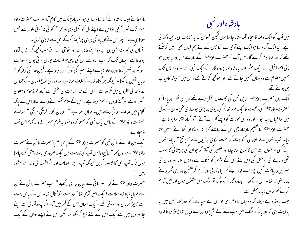مارا جائے جیسا بادشاہ لے کہا تھا ویسا ہی ہوا اور یاہ جنگ میں کام آیا اور جب حصرت داؤد <sup>علائق</sup>ا <sup>ک</sup>نک خسر <sup>پہن</sup>چی نو اس نے اپنے دل کو تسلی دی اور <sub>ک</sub>ھا " کو ئی نہ کو ئی تلوار سے قتل ہوتا ہی ہے" پھر اس نے اور یاہ کی بیوی پر قبصہ کرکے اس سے شادی کرلی۔ انسان کی فطرت ایسی ہی ہے وہ اپنے فائدے اور حوشی کے لئے سب کحچھ کرنے پر آمادہ ہوجاتا ہے ۔ یہاں تک کہ حب گناہ سے اس کی اپنی خواہشات پوری ہو تی ہوں تووہ اسے ا تنامکروہ نہیں لگتااور وہ جلد ی سے اپنے ضمیر کی آواز کو دیا دیتا ہے ۔لیکن خدا کی آواز کو نو د یا یا نہیں جاسکتا۔ کیونکہ ہر گناہ خداکے خلاف ہوتا ہے اور وہ بنی یوع انسان کے قدوس خداوند کی نظروں میں مکروہ ہے۔ اس لئے خدا نہایت ہی سختی سے گناہ کو مذموم ومعلون ٹھہر اتا ہے اور گنہگاروں کوسمزا دیتا ہے ۔اس کے ملزم ٹھہرانے والے الفاظ اس کے پاک کلام میں صاف سنائی دیتے ہیں۔ جہاں لکھا ہے " حبوجان گناہ کریگی مریگی " خدانے حصنرت داؤو ﷺ کے پاس ایک نبی کو بھیجا کہ وہ خود بہ ملزم ٹھہرانے والا کلام اس تک پہنچادے۔ ا یک دن خدا نے نا تن نبی کو حصرت داؤو ﷺ کے پاس بھیجاحصرت نا تن نے حصرت داؤد <sup>علائق</sup>ا سے یوں <sub>ک</sub>ما " عالیجاہ؛میں آپ کی *خد*مت میں ایک صروری بات پیش کرناچاہتا ہوں تا کہ آپ اس کا فیصلہ کریں کیونکہ آپ اپنے انصاف اور سثر افت کی وجہ سے مشور يبں-"

حصرت داؤد ﷺ نے کہا "مہر پانی سے بیان جاری رکھیَے " تب حصرت نا تن نے ان سے فرمایا : بادشاہ سلامت ؛ایک امیر آدمی تھا" وہ بہت خوشحال تھا۔اس کے پاس بہت سے بھیڑ بکر ماں اور مویشی تھے ۔ایک مہمان اس کے گھر میں آیا۔اگر چہ وہ آسا نی سے اپنے جانور وں میں سے ایک اس کے لئے ذبح کرسکتا تھا لیکن اس نے اپنے گاؤں کے ایک

## بادشاه اور سی

میں آپ کوایک دفعہ کاسچاواقعہ سنانا چاہتا ہوں لیکن افسوس کہ یہ نہایت ہی رنجیدہ کہا ٹی ہے ۔ یہ ایک گناہ تھاحوایک ایسے آدمی نے کیا جس کے لئے ہم خیال بھی نہیں کرسکتے تھے کہ وہ ایسا کام کرے گا۔میں آپ کو حصرت داؤد <sup>علائق</sup>ا کے بارے میں بتار ہا ہوں حو بنی اسمرائیل کے ایک سٹریف بادشاہ اور پرورد گار کے ایک نبی تھے ۔ او رجہاں تک ہمیں معلوم ہے وہ جہاں کھیں جاتے تھے ،اور حوکحچھ کرتے تھے ،اس میں ہمیشہ کامیاب ہی ہوتے تھے۔ ا یک دن حصرت داؤد ع<sup>لائق</sup>ا شاہی محل کی چھت پر ٹہل رہے تھے ان کی نظر اور یاہ (حبو حصرت داؤد ﷺ کی رعیت کاایک فر دیتھا) کی بیوی پر بڑی حو نہاری تھی۔ان کے دل میں براخیال پیدا ہوا۔اور وہ اس عورت کواپنے گھر لے آئے۔آہ؛ گناہ کتنا براہوتا ہے ۔ حصرت داؤد ع<sup>لائق</sup>ا سا عظیم بادشاہ بھی اس کے سامنے کھڑا نہ رہ سکا اور گناہ نے انہیں جکڑ لیا۔ تب انہوں نے گناہ کی کڑواہٹ کو سخت کڑوی بوٹیوں سے بھی تلخ تریایا۔ انہوں نے کئی طریقوں سے اس کا علاج کرنا چاہا اور ضمیر کی آواز کو حوان کی پریشانی کا سبب تھی دبانے کی کوشش کی اس لئے اس کے شوہر کو جنگ سے واپس بلایا اور وہاں کی خسریں دریافت کیں، پھر اسے کہا "اپنے گھر جا ،کھاپی اور آرام کر "کیکن وہ آدمی گھر جانے پر راضی نہ تھا۔اس نے کہا " پرورد کار کے لوگ نو جنگ میں مشغول ہوں اور میں آرام کرنے گھر جاؤں ؛ یہ ناممکن ہے "۔ جب بادشاہ نے دیکھا کہ وہ چال ناکام رہی تو اس نے سپہ سالار کو خط لکھا جس میں یہ ہدایت دی کہ اور یا ہ کو جنگ میں سب سے آگے بھیج دواور اسے وہاں تنا چھوڑ دو تا کہ وہ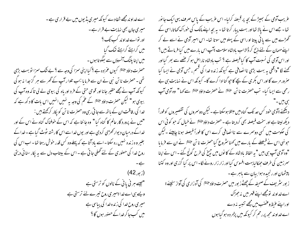اے خداو ندمجھے شفادے کیونکہ میری پڈیوں میں بے قراری ہے ۔ میری جان بھی نہایت بے قرار ہے۔ اور نواے *خد*او ند کب تک <sup>؟</sup> میں کراہتے کراہتے تھک گیا میں اپنا پلنگ آنسوؤں سے بعکو تا ہوں ۔ حصرت داؤد علائلا کیوں عمر دہ ہے ؟ کیاا پنی سمر ٰا کی وجہ سے ؟ بے نتُک سمر ٰا تو بہت بڑی تھی ۔حصرت نا تن نبی نے ان سے فرمایا :اب تلوار آپ کے گھر سے ہر گز جدا نہ ہو گی کیونکہ آپ نے مجھے حقیر جانا اور قو می حتی کے فر د اور یاہ کی بیوی لے لی تاکہ وہ آپ کی ببیوی ہو " لیکن حصرت داؤد ع<sup>لائق</sup>ا کے عم کی وجہ بہ نہیں انہیں اس بات کا د کھ ہے کہ خدا کی رفاقت ان کے باتھ سے جا تی رہی وہ حصرت نا تن کو پکار کرکھتے ہیں : "میں نے پرورد گار عالم کا گناہ کیا" وہ جا نتا ہے کہ اس کے خوفناک گناہ نے اس کے اور خداکے درمیان دیوار کھڑی کردی ہے اور یوں خداسے اس کارشتہ ٹوٹ گیاہے ۔خداکے بغیر و ہ زندہ نہیں رہ سکتا - اسے باد آتا ہے کہ پہلے وہ کس قدر حوش رہتا تھا - اب اس کی روح خدا کی حصوری کے لئے گھلی جاتی ہے ۔اس کے بیتاب دل سے یہ یکار سنائی دیتی  $(42)$ (زبور) "ہیسے ہر نی یا نی کے نالوں کو ترستی ہے ویے ہی اے خدا؛میری روح تیرے لئے ترستی ہے میری روح خدا کی زندہ خدا کی پیاسی ہے میں کب جا کر خدا کے حصور ہوں گا ؟

عریب آدمی کے بھیڑ کے بچہ پر قبصنہ کرلیا۔ اس عریب کے پاس صرف یہی ایک جا نور تھا ۔ جسے اس نے پالا تھا اور بہت پیار کرتا تھا ۔ یہ بچہ اپنے مالک کی حوراک کھاتا،اسی کے گھڑے میں سے یا فی پیتا او راسی کے پہلو میں سوتا تھا۔ اس امیر آدمی نے اسے لے کر اپنے مہمان کے لئے ذبح کر ڈالا اب بادشاہ سلامت ؛آپ اس بارے میں کیا فرماتے ہیں؟ اور اس آدمی کی نسبت آپ کا کیافیصلہ ہے ؟ تب بادشاہ ناراض ہو کر عصے سے بھر گیااور تحینے لگا "واقعی یہ بہت بڑی ناالصافی ہے کیونکہ زندہ خدا کی قسم ، جس آدمی نے ایسا کیا صرور مرے گا اور اس بکر ی کے بچے کا حیو گنا ادا کرے گا۔ کیونکہ اس نے نہایت ہی بے رحمی سے ایسا کیا۔ تب حصرت نا تن علیَّتَلا نے حصرت داؤد علیَّتَلا سے کہا " وہ آدمی آپ ۔ دیکھئے **؛آدمی حنود کس حد تک گناہ میں مبتلا** ہوسکتا ہے ۔لیکن دوسمروں کی تقصیروں کو فوراً دیکھ لپتا ہے اور سخت فیصلہ بھی کردیتا ہے ۔حصرت داؤد ﷺ نے خیال کہ حو کو ٹی اس کی حکومت میں کسی دوسمرے سے ناالصافی کرے اس کا فوراً فیصلہ ہونا چاہیئے ۔لیکن حونہی اس نے فی<u>صلے</u> کے بارے میں کھناسٹروع کیا حصرت نا تن <sup>علائق</sup>ا نے ان سے فرمایا "وہ آدمی آپ ہی بیں " یہ الفاظ یادشاہ کے کا نوں میں چیخ کی طرح گونچ گئے ۔اس نے اپنا سمرزمین کی طرف جھکالیا بہت افسوس کیا اور زار زار رونے لگا۔ اس پر کیا گزری اور وہ کتنا پیشمان اور رنجیدہ ہوا بیان سے باہر ہے۔ ز بور سٹریف کے صحیفہ کے چھٹے ز بور میں حصر ت داؤد ع<sup>لائن</sup>ا کی آہ زاری کی آواز سنیئے ؛ اے *فد*اوند تومجھےاپنے قہر میں نہ جھ<sup>ط</sup>ک اوراپنے عنیظ وعضب میں مجھے تنبیہ نہ دے اے خداو ند مجھ پر رحم کر کیونکہ میں پژمر دہ ہو گیاہوں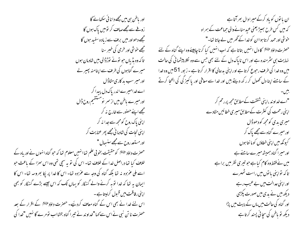اور باطن ہی میں مجھے دانا ئی سکھانے گا <u>زوغے سے مجھے</u> صاف کر تومیں پاک ہوں گا مجھے دھواور میں برف سے زیادہ سفید ہوں گا مجھے خوشی اور خرمی کی خس<sub>بر</sub> سنا تا کہ وہ پڈیاں جو نونے نوڑڈالی بیں شادمان ہوں میرے گناہوں کی طرف سے اپنامنہ پھیر لے اور میر سب بد کاری مٹاڈال اے خدامیرے اندریاک دل پیدا کر اور میرے ماطن میں از سمر نومستقیم روح ڈال مجھے اپنے حصور سے خارج نہ کر اپنی پاک روح کومجھ سے جدا نہ کر ا ہنی نحات کی شادمانی مجھے پھر عنایت کر اور مستعد روح سے مجھے سنسھال " حصرت داؤد ع<sup>لائل</sup>ا کو حقیقت بخوبی علم تھاانہیں معلوم تھا کہ حو گناہ انہوں نے اور ماہ کے خلاف کیا تھا دراصل خدا کے خلاف تھا۔ اس کی تو یہ سچی تھی وہ اس سمزا کے باعث حبو اسے ملی عمرٰ دہ نہ تھا بلکہ گناہ کی وجہ سے عمرٰ دہ تھا۔ اس کا خدا پر پکا بھروسہ تھا۔ اس کا ایمان بہ تھا کہ خدا توبہ کرنے والے گنہگار کو یہاں تک کہ اس جیسے بڑے گنہگار کو بھی اپنی رفاقت میں قبول کرلیتاہے ۔ اس لئے خدا نے بھی اس کے گناہ معاف کردیئے۔ حصرت داؤد علائشا کے اقرار کے بعد حصرت نا تن نبی نے اس سے کہا "خداوند نے تیرا گناہ بخشااب نو مرے گا نہیں "خدا کی

ان با نوں کو باد کرکے میرادال بھر آتاہے کہ میں کس طرح بھیڑیعنی عید منانے والی حماعت کے ہمراہ خوشی اور حمد کرتا ہوا ان کو خدا کے گھر میں لے جاتا تھا۔" حصرت داؤد ﷺ کا دل انہیں بتاتا ہے کہ اب انہیں کیا کرنا چاہیئے وہ اپنے گناہ کے لئے نہایت ہی سٹرمندہ ہے اور اس ناپاک دل کے لئے بھی جس سے وہ لکلا پیشما ٹی کی حالت میں وہ خدا کی طرف رحبوع کرتا ہے اوراپنی بدحالی کا اقرار کرتا ہے ۔ زبور 51 میں وہ خدا کے سامنے اپنا دل کھول کر رکھ دیتے ہیں اور خدا سے معافی اور پاکیز گی کی التحا کرتے "اے خداوند ،اپنی شفقت کےمطابق مجھ پررحم کر اپنی رحمت کی کثرت کےمطابق میری خطائیں مٹادے میری بدی کومجه کودھوڈال اور میرے گناہ سے مجھے پاک کر گیونکه میں اپنی خطاؤں کو ما نتا ہوں کے اور میرا گناہ ہمیشہ میرے سامنے ہے میں نے فقط وہ کام کیاہے جو تیری نظر میں براہے تا کہ نواپنی با نوں میں راست ٹھہرے اور اپنی عدالت میں بے عیب رہے دیکھ میں نے بدی میں صورت پکڑ*ی* اور گناہ کی حالت میں ماں کے پیٹ میں پڑا دیکھ تو باطن کی سچائی پسند کرتا ہے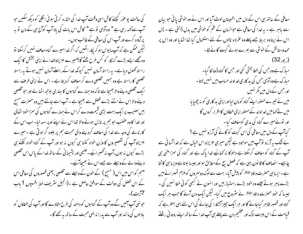کی حالت پو عوٰر کیجئے کاش اسی وقت آپ خدا کی اشارہ کرتی ہوئی الگلی کو دیکھ سکیں حو آپ سے <sub>ک</sub>ھہ رہی ہے " وہ آدمی نو ہے " کاش اس بات کی باد آپ کوآج ہی کے دن نو ہہ پرآمادہ کرے اور آپ اس کی معافی کے طالب ہوں۔ لیکن ممکن ہے کہ آپ ما یوس ہو کر یکار اٹھیں کہ اگر خدامیرے گناہ معاف نہیں کرسکتا تو وہ مجھے ایسے بڑے گنہگار کو کس طرح بخشے گا؟میرے عزیزو؛خدا نے اپنی بخشش کا ایک راستہ کھول دیا ہے۔ یہ راستہ آسان نہیں کیونکہ خدا کے راستے آسان نہیں ہوتے یہ راستہ مخلصی کا راستہ ہے وہ ہمیں مخلصی دے کر معاف کردیتا ہے ۔ اس نے اپنی طرف سے ا یک مخلصی دینے والا بھیجا ہے تا کہ وہ ہمارے گناہوں کا ہجاری بوجھ اٹھا لے اور حو مخلصی دینے والا اس نے اتنے بڑے فصل سے بھیجا ہے ۔ آپ اسے جانتے ہیں وہ حصرت مسح بیں صلیب پر ایک بہت بڑی قیمت دے کراس نے ہمارے گناہوں کی سمزاحود اٹھالی اور خدا کا وہ عضب حبو ہم پر نازل ہونے والا تھا اس نے اپنے اوپر سہہ لیا۔ اب اس کے کارنامے کی وجہ سے خدا کی معاف کردینے والی محبت ہم پر جلوہ گر ہو تی ہے ۔ میرے عزیزو آپ کی تقصیروں کا وزن خواہ کتنا ہی کیوں نہ ہو اور آپ کے گناہ خواہ کتنے ہی بڑے کیوں نہ ہوں،آپ نہ گھسرائیے۔حلیمی اور پشیما نی کے ساتھ خدا کے پاس اس مخلصی دینےوالے کےوسیلے سے جے اس نے بھیجاآئیے۔ "ہم کو اس میں اس ( مسح ) کے حون کے وسیلے سے مخلصی ، یعنی قصوروں کی معافی اس کے اس فضل کی دولت کے موافق حاصل ہے ۔(انجیل سٹریف خطِ افسیوں 1 باب 7آیت)۔ حبونہی آپ آئیں گے وہ آپ کے گناہوں کو دھند کی طرح مطادے گا اور آپ کی خطاؤں کو بادلوں کی مانند اور آپ سے یدرانہ الہی محبت کے ساتھ یہ کھے گا -

معافی کے ساتھ ہی اس کے دل میں اطمینان لوٹ آیا اور اس نے وہ حوشی یا ئی حو بیان سے باہر ہے - یہ خدا کی معافی ہے حوانسان کے عم کو خوشی میں بدل ڈالتی ہے - پس اس نے اپنا وہ بربط جسے پہلے وہ عمرٰ دہ نالوں کے لئے استعمال کیا تھا اٹھایا اور وہ اس پر حمدوستائش کے خوشی سے بھرے ہوئے گیت گانے لگا۔  $(32)$ زبور) مبارک ہے وہ جس کی خطا بخشی گئی اور جس کا گناہ ڈھا نکا گیا۔ مبارک ہے وہ آدمی جس کی بد کاری غداوند حساب میں نہیں لاتا -اور جس کے دل میں مگر نہیں میں نے تیبرے حصور اپنے گناہ کومان لیااوراپنی بد کاری کو نہ چھپایا میں نے کہامیں خداو ند کے حصور اپنی خطاؤں کا اقرار کروں گا اور تونے میرے گناہ کی بدی کومعاف کیا۔ کیاآپ کے دل میں معافی کی اس گیت کو گانے کی آرزو نہیں ہے ؟ بے شک یہ آرزو یوآپ میں موجود ہے لیکن میری عزیزواس خیال سے کہ خداآسا فی سے سے گناہ کو معا**ف کرسکتا ہے دھوکا نہ کھانیے غدا پاک ہے** اور گناہ کی سمزا ملنی ہی چاہیے۔ ا نصاف کا قا نون یہی ہے کہ فصل بیج کے مطابق ہو اور جیسا بوتاہے ویسا ہی کا ٹتا ہے۔ایسا ہی حصرت داؤد ع<sup>لائق</sup>ا کو پیش آیا۔ بہت سے لوگ دوسمروں کوملزم ٹھہرانے میں بڑے ماہر ہوتے جیسے وہ خود بڑے راستیاز بیں اور انہوں نے کبھی کو ئی خطا نہیں کی ۔ جیسا کہ خود حصرت داؤد ﷺ نے سثروع میں کیا۔ لیکن ایک دن آئے گا جب ہر ایک گناہ اور قصور ظاہر کیاجائے گا اور ہر ایک جیپز آنٹکارا کی جائے گی اس لئے یہی بہتر ہے کہ قیامت کے اس بیبت ناک اور عظیم دن سے پہلے ہی آپ خدا کے ساتھ اپنے روحا فی ر<u>ش</u>تے